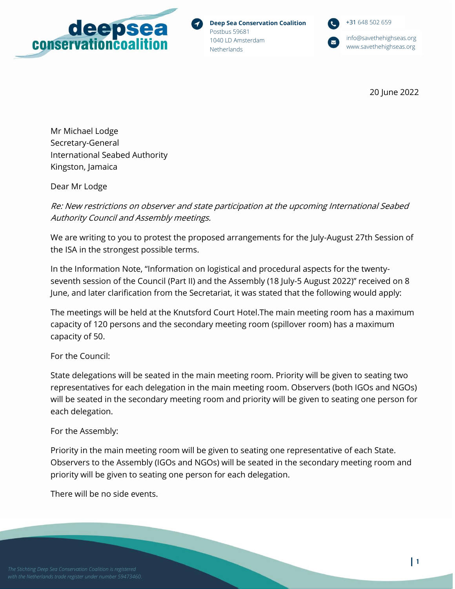

**Deep Sea Conservation Coalition** Postbus 59681 1040 LD Amsterdam **Netherlands** 

+31 648 502 659 [info@savethehighseas.org](mailto:info@savethehighseas.org)

[www.savethehighseas.org](http://www.savethehighseas.org/)

20 June 2022

Mr Michael Lodge Secretary-General International Seabed Authority Kingston, Jamaica

Dear Mr Lodge

Re: New restrictions on observer and state participation at the upcoming International Seabed Authority Council and Assembly meetings.

We are writing to you to protest the proposed arrangements for the July-August 27th Session of the ISA in the strongest possible terms.

In the Information Note, "Information on logistical and procedural aspects for the twentyseventh session of the Council (Part II) and the Assembly (18 July-5 August 2022)" received on 8 June, and later clarification from the Secretariat, it was stated that the following would apply:

The meetings will be held at the Knutsford Court Hotel.The main meeting room has a maximum capacity of 120 persons and the secondary meeting room (spillover room) has a maximum capacity of 50.

For the Council:

State delegations will be seated in the main meeting room. Priority will be given to seating two representatives for each delegation in the main meeting room. Observers (both IGOs and NGOs) will be seated in the secondary meeting room and priority will be given to seating one person for each delegation.

## For the Assembly:

Priority in the main meeting room will be given to seating one representative of each State. Observers to the Assembly (IGOs and NGOs) will be seated in the secondary meeting room and priority will be given to seating one person for each delegation.

There will be no side events.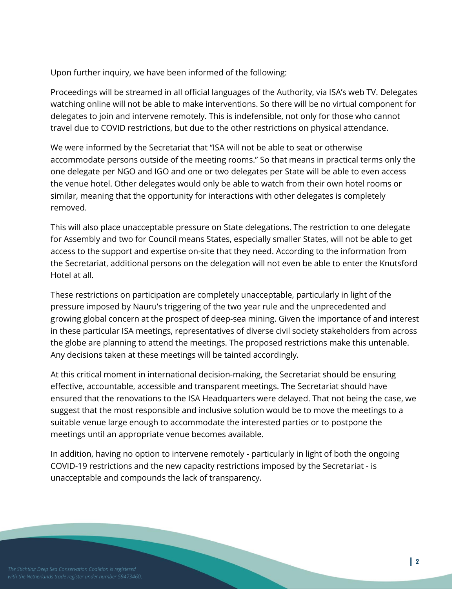Upon further inquiry, we have been informed of the following:

Proceedings will be streamed in all official languages of the Authority, via ISA's web TV. Delegates watching online will not be able to make interventions. So there will be no virtual component for delegates to join and intervene remotely. This is indefensible, not only for those who cannot travel due to COVID restrictions, but due to the other restrictions on physical attendance.

We were informed by the Secretariat that "ISA will not be able to seat or otherwise accommodate persons outside of the meeting rooms." So that means in practical terms only the one delegate per NGO and IGO and one or two delegates per State will be able to even access the venue hotel. Other delegates would only be able to watch from their own hotel rooms or similar, meaning that the opportunity for interactions with other delegates is completely removed.

This will also place unacceptable pressure on State delegations. The restriction to one delegate for Assembly and two for Council means States, especially smaller States, will not be able to get access to the support and expertise on-site that they need. According to the information from the Secretariat, additional persons on the delegation will not even be able to enter the Knutsford Hotel at all.

These restrictions on participation are completely unacceptable, particularly in light of the pressure imposed by Nauru's triggering of the two year rule and the unprecedented and growing global concern at the prospect of deep-sea mining. Given the importance of and interest in these particular ISA meetings, representatives of diverse civil society stakeholders from across the globe are planning to attend the meetings. The proposed restrictions make this untenable. Any decisions taken at these meetings will be tainted accordingly.

At this critical moment in international decision-making, the Secretariat should be ensuring effective, accountable, accessible and transparent meetings. The Secretariat should have ensured that the renovations to the ISA Headquarters were delayed. That not being the case, we suggest that the most responsible and inclusive solution would be to move the meetings to a suitable venue large enough to accommodate the interested parties or to postpone the meetings until an appropriate venue becomes available.

In addition, having no option to intervene remotely - particularly in light of both the ongoing COVID-19 restrictions and the new capacity restrictions imposed by the Secretariat - is unacceptable and compounds the lack of transparency.